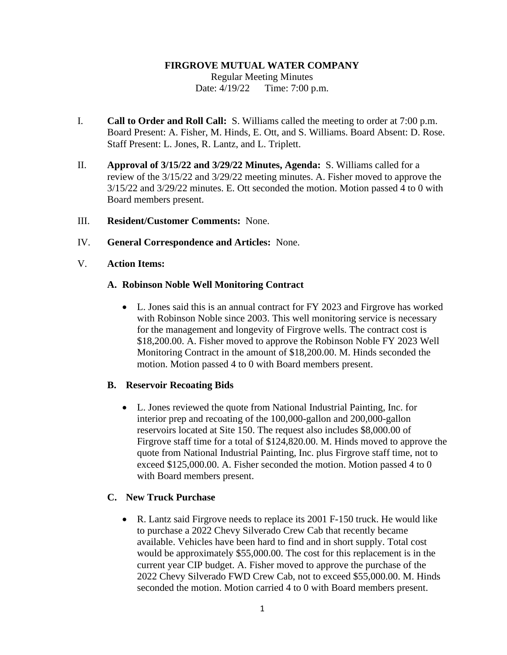#### **FIRGROVE MUTUAL WATER COMPANY**

Regular Meeting Minutes Date: 4/19/22 Time: 7:00 p.m.

- I. **Call to Order and Roll Call:** S. Williams called the meeting to order at 7:00 p.m. Board Present: A. Fisher, M. Hinds, E. Ott, and S. Williams. Board Absent: D. Rose. Staff Present: L. Jones, R. Lantz, and L. Triplett.
- II. **Approval of 3/15/22 and 3/29/22 Minutes, Agenda:** S. Williams called for a review of the 3/15/22 and 3/29/22 meeting minutes. A. Fisher moved to approve the 3/15/22 and 3/29/22 minutes. E. Ott seconded the motion. Motion passed 4 to 0 with Board members present.
- III. **Resident/Customer Comments:** None.
- IV. **General Correspondence and Articles:** None.
- V. **Action Items:**

#### **A. Robinson Noble Well Monitoring Contract**

• L. Jones said this is an annual contract for FY 2023 and Firgrove has worked with Robinson Noble since 2003. This well monitoring service is necessary for the management and longevity of Firgrove wells. The contract cost is \$18,200.00. A. Fisher moved to approve the Robinson Noble FY 2023 Well Monitoring Contract in the amount of \$18,200.00. M. Hinds seconded the motion. Motion passed 4 to 0 with Board members present.

### **B. Reservoir Recoating Bids**

• L. Jones reviewed the quote from National Industrial Painting, Inc. for interior prep and recoating of the 100,000-gallon and 200,000-gallon reservoirs located at Site 150. The request also includes \$8,000.00 of Firgrove staff time for a total of \$124,820.00. M. Hinds moved to approve the quote from National Industrial Painting, Inc. plus Firgrove staff time, not to exceed \$125,000.00. A. Fisher seconded the motion. Motion passed 4 to 0 with Board members present.

### **C. New Truck Purchase**

• R. Lantz said Firgrove needs to replace its 2001 F-150 truck. He would like to purchase a 2022 Chevy Silverado Crew Cab that recently became available. Vehicles have been hard to find and in short supply. Total cost would be approximately \$55,000.00. The cost for this replacement is in the current year CIP budget. A. Fisher moved to approve the purchase of the 2022 Chevy Silverado FWD Crew Cab, not to exceed \$55,000.00. M. Hinds seconded the motion. Motion carried 4 to 0 with Board members present.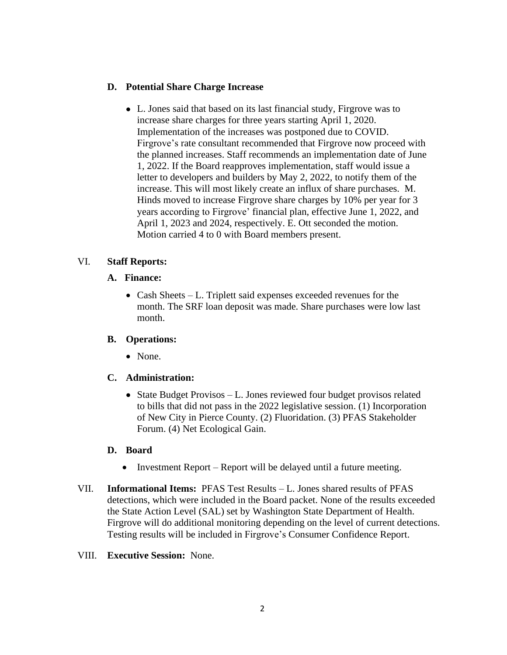## **D. Potential Share Charge Increase**

• L. Jones said that based on its last financial study, Firgrove was to increase share charges for three years starting April 1, 2020. Implementation of the increases was postponed due to COVID. Firgrove's rate consultant recommended that Firgrove now proceed with the planned increases. Staff recommends an implementation date of June 1, 2022. If the Board reapproves implementation, staff would issue a letter to developers and builders by May 2, 2022, to notify them of the increase. This will most likely create an influx of share purchases. M. Hinds moved to increase Firgrove share charges by 10% per year for 3 years according to Firgrove' financial plan, effective June 1, 2022, and April 1, 2023 and 2024, respectively. E. Ott seconded the motion. Motion carried 4 to 0 with Board members present.

# VI. **Staff Reports:**

### **A. Finance:**

• Cash Sheets – L. Triplett said expenses exceeded revenues for the month. The SRF loan deposit was made. Share purchases were low last month.

### **B. Operations:**

• None.

# **C. Administration:**

• State Budget Provisos – L. Jones reviewed four budget provisos related to bills that did not pass in the 2022 legislative session. (1) Incorporation of New City in Pierce County. (2) Fluoridation. (3) PFAS Stakeholder Forum. (4) Net Ecological Gain.

# **D. Board**

- Investment Report Report will be delayed until a future meeting.
- VII. **Informational Items:** PFAS Test Results L. Jones shared results of PFAS detections, which were included in the Board packet. None of the results exceeded the State Action Level (SAL) set by Washington State Department of Health. Firgrove will do additional monitoring depending on the level of current detections. Testing results will be included in Firgrove's Consumer Confidence Report.

### VIII. **Executive Session:** None.